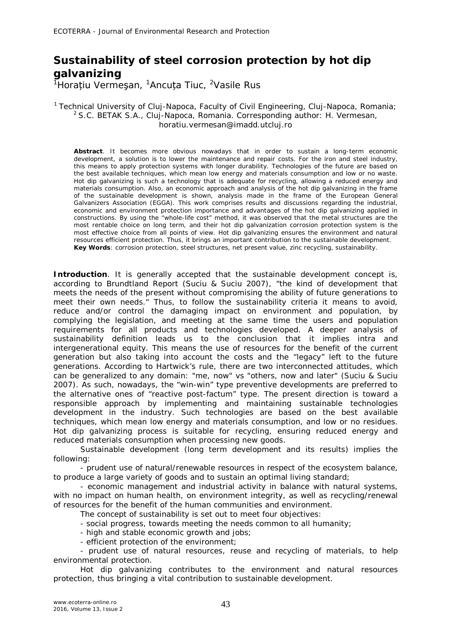## **Sustainability of steel corrosion protection by hot dip galvanizing**

<sup>1</sup>Horațiu Vermeşan, <sup>1</sup>Ancuța Tiuc, <sup>2</sup>Vasile Rus

## <sup>1</sup> Technical University of Cluj-Napoca, Faculty of Civil Engineering, Cluj-Napoca, Romania;  $2$  S.C. BETAK S.A., Cluj-Napoca, Romania. Corresponding author: H. Vermesan, horatiu.vermesan@imadd.utcluj.ro

**Abstract**. It becomes more obvious nowadays that in order to sustain a long-term economic development, a solution is to lower the maintenance and repair costs. For the iron and steel industry, this means to apply protection systems with longer durability. Technologies of the future are based on the best available techniques, which mean low energy and materials consumption and low or no waste. Hot dip galvanizing is such a technology that is adequate for recycling, allowing a reduced energy and materials consumption. Also, an economic approach and analysis of the hot dip galvanizing in the frame of the sustainable development is shown, analysis made in the frame of the European General Galvanizers Association (EGGA). This work comprises results and discussions regarding the industrial, economic and environment protection importance and advantages of the hot dip galvanizing applied in constructions. By using the "whole-life cost" method, it was observed that the metal structures are the most rentable choice on long term, and their hot dip galvanization corrosion protection system is the most effective choice from all points of view. Hot dip galvanizing ensures the environment and natural resources efficient protection. Thus, it brings an important contribution to the sustainable development. **Key Words**: corrosion protection, steel structures, net present value, zinc recycling, sustainability.

**Introduction**. It is generally accepted that the sustainable development concept is, according to Brundtland Report (Suciu & Suciu 2007), "*the kind of development that meets the needs of the present without compromising the ability of future generations to meet their own needs*." Thus, to follow the sustainability criteria it means to avoid, reduce and/or control the damaging impact on environment and population, by complying the legislation, and meeting at the same time the users and population requirements for all products and technologies developed. A deeper analysis of sustainability definition leads us to the conclusion that it implies intra and intergenerational equity. This means the use of resources for the benefit of the current generation but also taking into account the costs and the "legacy" left to the future generations. According to Hartwick's rule, there are two interconnected attitudes, which can be generalized to any domain: "me, now" vs "others, now and later" (Suciu & Suciu 2007). As such, nowadays, the "win-win" type preventive developments are preferred to the alternative ones of "reactive post-factum" type. The present direction is toward a responsible approach by implementing and maintaining sustainable technologies development in the industry. Such technologies are based on the best available techniques, which mean low energy and materials consumption, and low or no residues. Hot dip galvanizing process is suitable for recycling, ensuring reduced energy and reduced materials consumption when processing new goods.

Sustainable development (long term development and its results) implies the following:

- prudent use of natural/renewable resources in respect of the ecosystem balance, to produce a large variety of goods and to sustain an optimal living standard;

- economic management and industrial activity in balance with natural systems, with no impact on human health, on environment integrity, as well as recycling/renewal of resources for the benefit of the human communities and environment.

The concept of sustainability is set out to meet four objectives:

- social progress, towards meeting the needs common to all humanity;
- high and stable economic growth and jobs;
- efficient protection of the environment;

- prudent use of natural resources, reuse and recycling of materials, to help environmental protection.

Hot dip galvanizing contributes to the environment and natural resources protection, thus bringing a vital contribution to sustainable development.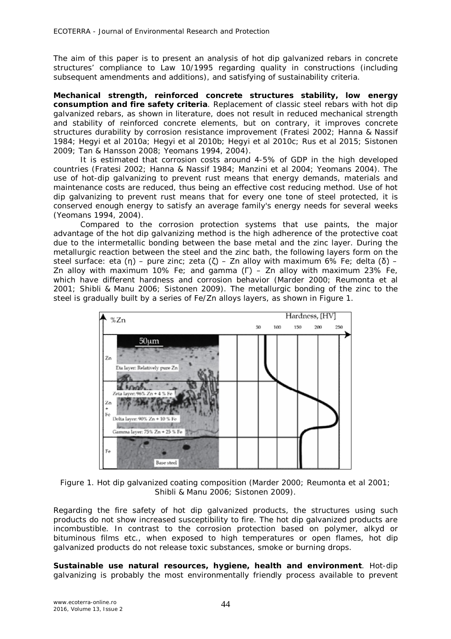The aim of this paper is to present an analysis of hot dip galvanized rebars in concrete structures' compliance to Law 10/1995 regarding quality in constructions (including subsequent amendments and additions), and satisfying of sustainability criteria.

**Mechanical strength, reinforced concrete structures stability, low energy consumption and fire safety criteria**. Replacement of classic steel rebars with hot dip galvanized rebars, as shown in literature, does not result in reduced mechanical strength and stability of reinforced concrete elements, but on contrary, it improves concrete structures durability by corrosion resistance improvement (Fratesi 2002; Hanna & Nassif 1984; Hegyi et al 2010a; Hegyi et al 2010b; Hegyi et al 2010c; Rus et al 2015; Sistonen 2009; Tan & Hansson 2008; Yeomans 1994, 2004).

It is estimated that corrosion costs around 4-5% of GDP in the high developed countries (Fratesi 2002; Hanna & Nassif 1984; Manzini et al 2004; Yeomans 2004). The use of hot-dip galvanizing to prevent rust means that energy demands, materials and maintenance costs are reduced, thus being an effective cost reducing method. Use of hot dip galvanizing to prevent rust means that for every one tone of steel protected, it is conserved enough energy to satisfy an average family's energy needs for several weeks (Yeomans 1994, 2004).

Compared to the corrosion protection systems that use paints, the major advantage of the hot dip galvanizing method is the high adherence of the protective coat due to the intermetallic bonding between the base metal and the zinc layer. During the metallurgic reaction between the steel and the zinc bath, the following layers form on the steel surface: *eta* (η) – pure zinc; *zeta* (ζ) – Zn alloy with maximum 6% Fe; *delta* (δ) – Zn alloy with maximum 10% Fe; and *gamma* (Г) – Zn alloy with maximum 23% Fe, which have different hardness and corrosion behavior (Marder 2000; Reumonta et al 2001; Shibli & Manu 2006; Sistonen 2009). The metallurgic bonding of the zinc to the steel is gradually built by a series of Fe/Zn alloys layers, as shown in Figure 1.



Figure 1. Hot dip galvanized coating composition (Marder 2000; Reumonta et al 2001; Shibli & Manu 2006; Sistonen 2009).

Regarding the fire safety of hot dip galvanized products, the structures using such products do not show increased susceptibility to fire. The hot dip galvanized products are incombustible. In contrast to the corrosion protection based on polymer, alkyd or bituminous films etc., when exposed to high temperatures or open flames, hot dip galvanized products do not release toxic substances, smoke or burning drops.

**Sustainable use natural resources, hygiene, health and environment**. Hot-dip galvanizing is probably the most environmentally friendly process available to prevent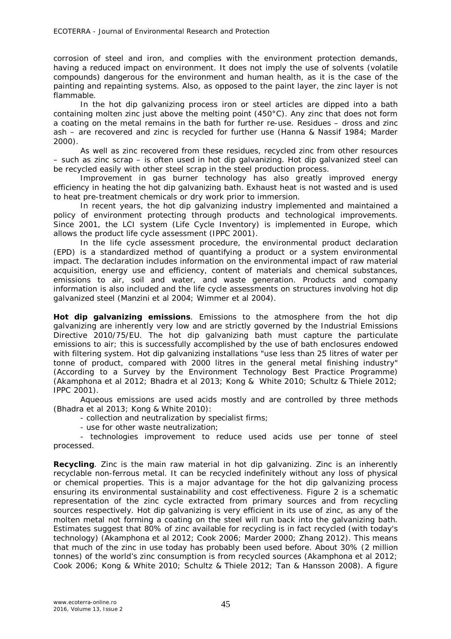corrosion of steel and iron, and complies with the environment protection demands, having a reduced impact on environment. It does not imply the use of solvents (volatile compounds) dangerous for the environment and human health, as it is the case of the painting and repainting systems. Also, as opposed to the paint layer, the zinc layer is not flammable.

In the hot dip galvanizing process iron or steel articles are dipped into a bath containing molten zinc just above the melting point (450°C). Any zinc that does not form a coating on the metal remains in the bath for further re-use. Residues – dross and zinc ash – are recovered and zinc is recycled for further use (Hanna & Nassif 1984; Marder 2000).

As well as zinc recovered from these residues, recycled zinc from other resources – such as zinc scrap – is often used in hot dip galvanizing. Hot dip galvanized steel can be recycled easily with other steel scrap in the steel production process.

Improvement in gas burner technology has also greatly improved energy efficiency in heating the hot dip galvanizing bath. Exhaust heat is not wasted and is used to heat pre-treatment chemicals or dry work prior to immersion.

In recent years, the hot dip galvanizing industry implemented and maintained a policy of environment protecting through products and technological improvements. Since 2001, the LCI system (Life Cycle Inventory) is implemented in Europe, which allows the product life cycle assessment (IPPC 2001).

In the life cycle assessment procedure, the environmental product declaration (EPD) is a standardized method of quantifying a product or a system environmental impact. The declaration includes information on the environmental impact of raw material acquisition, energy use and efficiency, content of materials and chemical substances, emissions to air, soil and water, and waste generation. Products and company information is also included and the life cycle assessments on structures involving hot dip galvanized steel (Manzini et al 2004; Wimmer et al 2004).

*Hot dip galvanizing emissions.* Emissions to the atmosphere from the hot dip galvanizing are inherently very low and are strictly governed by the Industrial Emissions Directive 2010/75/EU. The hot dip galvanizing bath must capture the particulate emissions to air; this is successfully accomplished by the use of bath enclosures endowed with filtering system. Hot dip galvanizing installations "use less than 25 litres of water per tonne of product, compared with 2000 litres in the general metal finishing industry" (According to a Survey by the Environment Technology Best Practice Programme) (Akamphona et al 2012; Bhadra et al 2013; Kong & White 2010; Schultz & Thiele 2012; IPPC 2001).

Aqueous emissions are used acids mostly and are controlled by three methods (Bhadra et al 2013; Kong & White 2010):

- collection and neutralization by specialist firms;

- use for other waste neutralization;

- technologies improvement to reduce used acids use per tonne of steel processed.

*Recycling.* Zinc is the main raw material in hot dip galvanizing. Zinc is an inherently recyclable non-ferrous metal. It can be recycled indefinitely without any loss of physical or chemical properties. This is a major advantage for the hot dip galvanizing process ensuring its environmental sustainability and cost effectiveness. Figure 2 is a schematic representation of the zinc cycle extracted from primary sources and from recycling sources respectively. Hot dip galvanizing is very efficient in its use of zinc, as any of the molten metal not forming a coating on the steel will run back into the galvanizing bath. Estimates suggest that 80% of zinc available for recycling is in fact recycled (with today's technology) (Akamphona et al 2012; Cook 2006; Marder 2000; Zhang 2012). This means that much of the zinc in use today has probably been used before. About 30% (2 million tonnes) of the world's zinc consumption is from recycled sources (Akamphona et al 2012; Cook 2006; Kong & White 2010; Schultz & Thiele 2012; Tan & Hansson 2008). A figure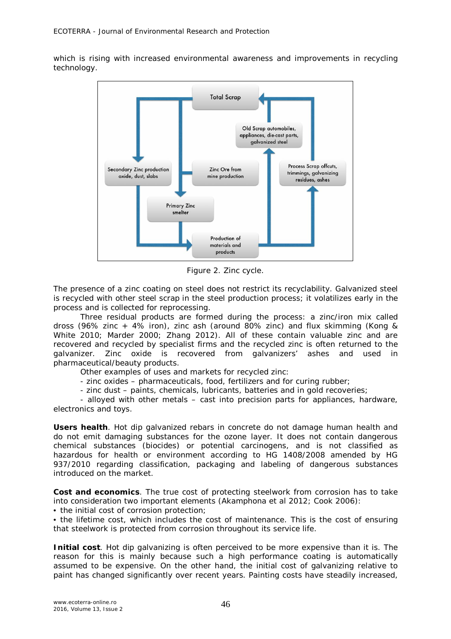which is rising with increased environmental awareness and improvements in recycling technology.



Figure 2. Zinc cycle.

The presence of a zinc coating on steel does not restrict its recyclability. Galvanized steel is recycled with other steel scrap in the steel production process; it volatilizes early in the process and is collected for reprocessing.

Three residual products are formed during the process: a zinc/iron mix called dross (96% zinc + 4% iron), zinc ash (around 80% zinc) and flux skimming (Kong & White 2010; Marder 2000; Zhang 2012). All of these contain valuable zinc and are recovered and recycled by specialist firms and the recycled zinc is often returned to the galvanizer. Zinc oxide is recovered from galvanizers' ashes and used in pharmaceutical/beauty products.

Other examples of uses and markets for recycled zinc:

- zinc oxides pharmaceuticals, food, fertilizers and for curing rubber;
- zinc dust paints, chemicals, lubricants, batteries and in gold recoveries;

- alloyed with other metals – cast into precision parts for appliances, hardware, electronics and toys.

*Users health.* Hot dip galvanized rebars in concrete do not damage human health and do not emit damaging substances for the ozone layer. It does not contain dangerous chemical substances (biocides) or potential carcinogens, and is not classified as hazardous for health or environment according to HG 1408/2008 amended by HG 937/2010 regarding classification, packaging and labeling of dangerous substances introduced on the market.

**Cost and economics**. The true cost of protecting steelwork from corrosion has to take into consideration two important elements (Akamphona et al 2012; Cook 2006):

• the initial cost of corrosion protection;

• the lifetime cost, which includes the cost of maintenance. This is the cost of ensuring that steelwork is protected from corrosion throughout its service life.

*Initial cost.* Hot dip galvanizing is often perceived to be more expensive than it is. The reason for this is mainly because such a high performance coating is automatically assumed to be expensive. On the other hand, the initial cost of galvanizing relative to paint has changed significantly over recent years. Painting costs have steadily increased,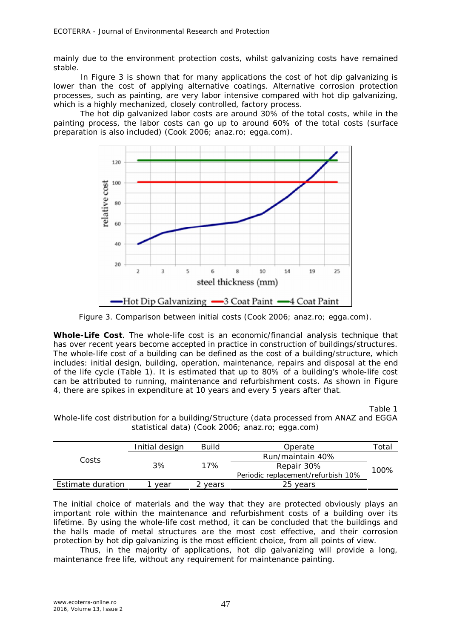mainly due to the environment protection costs, whilst galvanizing costs have remained stable.

In Figure 3 is shown that for many applications the cost of hot dip galvanizing is lower than the cost of applying alternative coatings. Alternative corrosion protection processes, such as painting, are very labor intensive compared with hot dip galvanizing, which is a highly mechanized, closely controlled, factory process.

The hot dip galvanized labor costs are around 30% of the total costs, while in the painting process, the labor costs can go up to around 60% of the total costs (surface preparation is also included) (Cook 2006; anaz.ro; egga.com).



Figure 3. Comparison between initial costs (Cook 2006; anaz.ro; egga.com).

*Whole-Life Cost.* The whole-life cost is an economic/financial analysis technique that has over recent years become accepted in practice in construction of buildings/structures. The whole-life cost of a building can be defined as the cost of a building/structure, which includes: initial design, building, operation, maintenance, repairs and disposal at the end of the life cycle (Table 1). It is estimated that up to 80% of a building's whole-life cost can be attributed to running, maintenance and refurbishment costs. As shown in Figure 4, there are spikes in expenditure at 10 years and every 5 years after that.

Table 1

Whole-life cost distribution for a building/Structure (data processed from ANAZ and EGGA statistical data) (Cook 2006; anaz.ro; egga.com)

| Costs             | Initial design | Build   | Operate                            | cotal" |  |
|-------------------|----------------|---------|------------------------------------|--------|--|
|                   | 3%             | 17%     | Run/maintain 40%                   | 100%   |  |
|                   |                |         | Repair 30%                         |        |  |
|                   |                |         | Periodic replacement/refurbish 10% |        |  |
| Estimate duration | vear           | 2 vears | 25 years                           |        |  |

The initial choice of materials and the way that they are protected obviously plays an important role within the maintenance and refurbishment costs of a building over its lifetime. By using the whole-life cost method, it can be concluded that the buildings and the halls made of metal structures are the most cost effective, and their corrosion protection by hot dip galvanizing is the most efficient choice, from all points of view.

Thus, in the majority of applications, hot dip galvanizing will provide a long, maintenance free life, without any requirement for maintenance painting.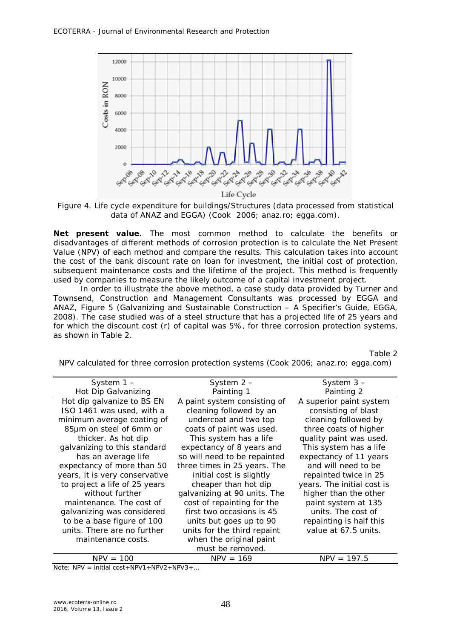

Figure 4. Life cycle expenditure for buildings/Structures (data processed from statistical data of ANAZ and EGGA) (Cook 2006; anaz.ro; egga.com).

*Net present value.* The most common method to calculate the benefits or disadvantages of different methods of corrosion protection is to calculate the Net Present Value (NPV) of each method and compare the results. This calculation takes into account the cost of the bank discount rate on loan for investment, the initial cost of protection, subsequent maintenance costs and the lifetime of the project. This method is frequently used by companies to measure the likely outcome of a capital investment project.

In order to illustrate the above method, a case study data provided by *Turner and Townsend, Construction and Management Consultants* was processed by EGGA and ANAZ, Figure 5 (Galvanizing and Sustainable Construction – A Specifier's Guide, EGGA, 2008). The case studied was of a steel structure that has a projected life of 25 years and for which the discount cost (*r*) of capital was 5%, for three corrosion protection systems, as shown in Table 2.

Table 2

| System 1-                      | System 2 –                   | System $3-$                |
|--------------------------------|------------------------------|----------------------------|
| Hot Dip Galvanizing            | Painting 1                   | Painting 2                 |
| Hot dip galvanize to BS EN     | A paint system consisting of | A superior paint system    |
| ISO 1461 was used, with a      | cleaning followed by an      | consisting of blast        |
| minimum average coating of     | undercoat and two top        | cleaning followed by       |
| 85µm on steel of 6mm or        | coats of paint was used.     | three coats of higher      |
| thicker. As hot dip            | This system has a life       | quality paint was used.    |
| galvanizing to this standard   | expectancy of 8 years and    | This system has a life     |
| has an average life            | so will need to be repainted | expectancy of 11 years     |
| expectancy of more than 50     | three times in 25 years. The | and will need to be        |
| years, it is very conservative | initial cost is slightly     | repainted twice in 25      |
| to project a life of 25 years  | cheaper than hot dip         | years. The initial cost is |
| without further                | galvanizing at 90 units. The | higher than the other      |
| maintenance. The cost of       | cost of repainting for the   | paint system at 135        |
| galvanizing was considered     | first two occasions is 45    | units. The cost of         |
| to be a base figure of 100     | units but goes up to 90      | repainting is half this    |
| units. There are no further    | units for the third repaint  | value at 67.5 units.       |
| maintenance costs.             | when the original paint      |                            |
|                                | must be removed.             |                            |
| $NPV = 100$                    | $NPV = 169$                  | $NPV = 197.5$              |
|                                |                              |                            |

NPV calculated for three corrosion protection systems (Cook 2006; anaz.ro; egga.com)

Note: NPV = initial cost+NPV1+NPV2+NPV3+…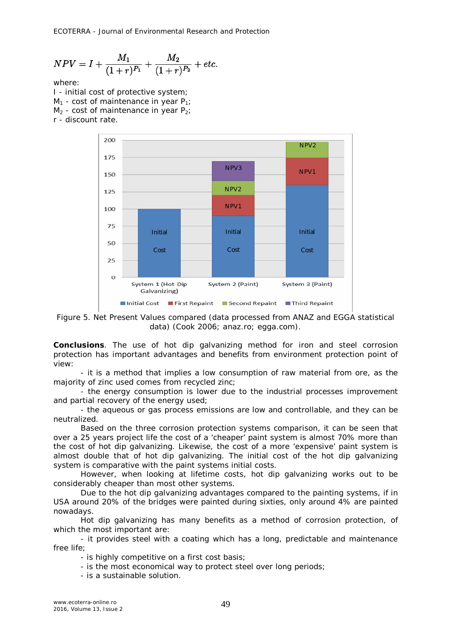$$
NPV = I + \frac{M_1}{(1+r)^{P_1}} + \frac{M_2}{(1+r)^{P_2}} + etc.
$$

where:

I - initial cost of protective system;  $M_1$  - cost of maintenance in year P<sub>1</sub>;  $M<sub>2</sub>$  - cost of maintenance in year P<sub>2</sub>; r - discount rate.



Figure 5. Net Present Values compared (data processed from ANAZ and EGGA statistical data) (Cook 2006; anaz.ro; egga.com).

**Conclusions**. The use of hot dip galvanizing method for iron and steel corrosion protection has important advantages and benefits from environment protection point of view:

- it is a method that implies a low consumption of raw material from ore, as the majority of zinc used comes from recycled zinc;

- the energy consumption is lower due to the industrial processes improvement and partial recovery of the energy used;

- the aqueous or gas process emissions are low and controllable, and they can be neutralized.

Based on the three corrosion protection systems comparison, it can be seen that over a 25 years project life the cost of a 'cheaper' paint system is almost 70% more than the cost of hot dip galvanizing. Likewise, the cost of a more 'expensive' paint system is almost double that of hot dip galvanizing. The initial cost of the hot dip galvanizing system is comparative with the paint systems initial costs.

However, when looking at lifetime costs, hot dip galvanizing works out to be considerably cheaper than most other systems.

Due to the hot dip galvanizing advantages compared to the painting systems, if in USA around 20% of the bridges were painted during sixties, only around 4% are painted nowadays.

Hot dip galvanizing has many benefits as a method of corrosion protection, of which the most important are:

- it provides steel with a coating which has a long, predictable and maintenance free life;

- is highly competitive on a first cost basis;

- is the most economical way to protect steel over long periods;

- is a sustainable solution.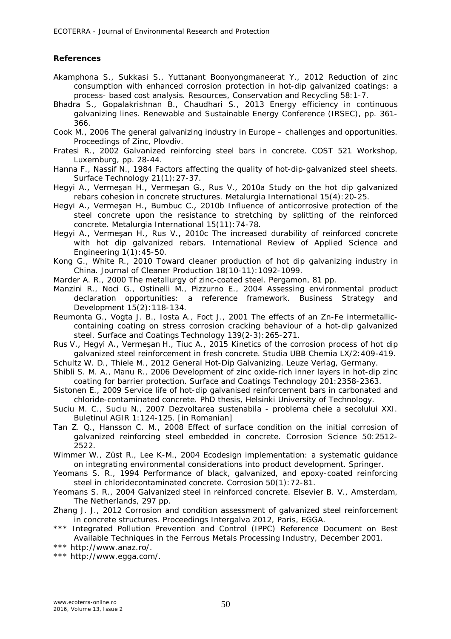## **References**

- Akamphona S., Sukkasi S., Yuttanant Boonyongmaneerat Y., 2012 Reduction of zinc consumption with enhanced corrosion protection in hot-dip galvanized coatings: a process- based cost analysis. Resources, Conservation and Recycling 58:1-7.
- Bhadra S., Gopalakrishnan B., Chaudhari S., 2013 Energy efficiency in continuous galvanizing lines. Renewable and Sustainable Energy Conference (IRSEC), pp. 361- 366.
- Cook M., 2006 The general galvanizing industry in Europe challenges and opportunities. Proceedings of Zinc, Plovdiv.
- Fratesi R., 2002 Galvanized reinforcing steel bars in concrete. COST 521 Workshop, Luxemburg, pp. 28-44.
- Hanna F., Nassif N., 1984 Factors affecting the quality of hot-dip-galvanized steel sheets. Surface Technology 21(1):27-37.
- Hegyi A., Vermeşan H., Vermeşan G., Rus V., 2010a Study on the hot dip galvanized rebars cohesion in concrete structures. Metalurgia International 15(4):20-25.
- Hegyi A., Vermeşan H., Bumbuc C., 2010b Influence of anticorrosive protection of the steel concrete upon the resistance to stretching by splitting of the reinforced concrete. Metalurgia International 15(11):74-78.
- Hegyi A., Vermeşan H., Rus V., 2010c The increased durability of reinforced concrete with hot dip galvanized rebars. International Review of Applied Science and Engineering 1(1):45-50.
- Kong G., White R., 2010 Toward cleaner production of hot dip galvanizing industry in China. Journal of Cleaner Production 18(10-11):1092-1099.
- Marder A. R., 2000 The metallurgy of zinc-coated steel. Pergamon, 81 pp.
- Manzini R., Noci G., Ostinelli M., Pizzurno E., 2004 Assessing environmental product declaration opportunities: a reference framework. Business Strategy Development 15(2):118-134.
- Reumonta G., Vogta J. B., Iosta A., Foct J., 2001 The effects of an Zn-Fe intermetalliccontaining coating on stress corrosion cracking behaviour of a hot-dip galvanized steel. Surface and Coatings Technology 139(2-3):265-271.
- Rus V., Hegyi A., Vermeşan H., Tiuc A., 2015 Kinetics of the corrosion process of hot dip galvanized steel reinforcement in fresh concrete. Studia UBB Chemia LX/2:409-419.
- Schultz W. D., Thiele M., 2012 General Hot-Dip Galvanizing. Leuze Verlag, Germany.
- Shibli S. M. A., Manu R., 2006 Development of zinc oxide-rich inner layers in hot-dip zinc coating for barrier protection. Surface and Coatings Technology 201:2358-2363.
- Sistonen E., 2009 Service life of hot-dip galvanised reinforcement bars in carbonated and chloride-contaminated concrete. PhD thesis, Helsinki University of Technology.
- Suciu M. C., Suciu N., 2007 Dezvoltarea sustenabila problema cheie a secolului XXI. Buletinul AGIR 1:124-125. [in Romanian]
- Tan Z. Q., Hansson C. M., 2008 Effect of surface condition on the initial corrosion of galvanized reinforcing steel embedded in concrete. Corrosion Science 50:2512- 2522.
- Wimmer W., Züst R., Lee K-M., 2004 Ecodesign implementation: a systematic guidance on integrating environmental considerations into product development. Springer.
- Yeomans S. R., 1994 Performance of black, galvanized, and epoxy-coated reinforcing steel in chloridecontaminated concrete. Corrosion 50(1):72-81.
- Yeomans S. R., 2004 Galvanized steel in reinforced concrete. Elsevier B. V., Amsterdam, The Netherlands, 297 pp.
- Zhang J. J., 2012 Corrosion and condition assessment of galvanized steel reinforcement in concrete structures. Proceedings Intergalva 2012, Paris, EGGA.
- \*\*\* Integrated Pollution Prevention and Control (IPPC) Reference Document on Best Available Techniques in the Ferrous Metals Processing Industry, December 2001.
- \*\*\* http://www.anaz.ro/.
- \*\*\* http://www.egga.com/.